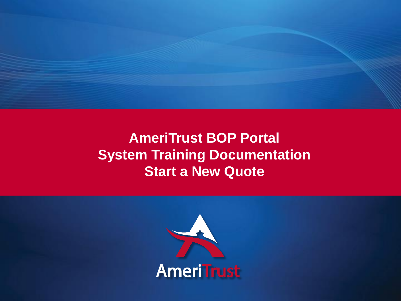

# **AmeriTrust BOP Portal System Training Documentation Start a New Quote**

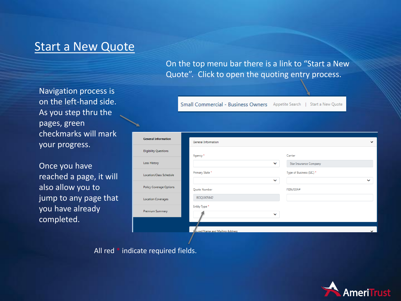## **Start a New Quote**

Navigation process is on the left-hand side. As you step thru the pages, green checkmarks will mark your progress.

Once you have reached a page, it will also allow you to jump to any page that you have already completed.

On the top menu bar there is a link to "Start a New Quote". Click to open the quoting entry process.

Small Commercial - Business Owners Appetite Search | Start a New Quote

| <b>General Information</b>   | General Information              |              | $\check{ }$                   |
|------------------------------|----------------------------------|--------------|-------------------------------|
| <b>Eligibility Questions</b> | Agency *                         | Carrier      |                               |
| Loss History                 |                                  | $\checkmark$ | <b>Star Insurance Company</b> |
| Location/Class Schedule      | Primary State *                  |              | Type of Business (SIC) *      |
|                              |                                  | $\checkmark$ | $\checkmark$                  |
| Policy Coverage Options      | Quote Number                     |              | FEIN/SSN#                     |
| Location Coverages           | BOQ1005842                       |              |                               |
|                              | Entity Type *                    |              |                               |
| Premium Summary              |                                  | $\checkmark$ |                               |
|                              |                                  |              |                               |
|                              | I sured Name and Mailing Address |              | $\checkmark$                  |
|                              |                                  |              |                               |
|                              |                                  |              |                               |

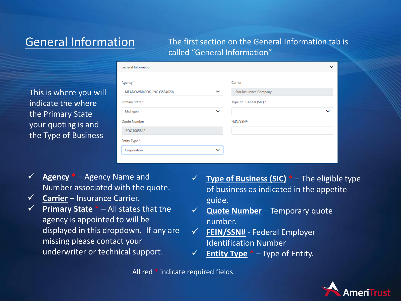# General Information

## The first section on the General Information tab is called "General Information"

This is where you will indicate the where the Primary State your quoting is and the Type of Business

|              | Carrier                       |
|--------------|-------------------------------|
| $\checkmark$ | <b>Star Insurance Company</b> |
|              | Type of Business (SIC) *      |
| $\checkmark$ | $\checkmark$                  |
|              | FEIN/SSN#                     |
|              |                               |
|              |                               |
| $\checkmark$ |                               |
|              |                               |

✓ **Agency** \* – Agency Name and Number associated with the quote.

Concert Information

- ✓ **Carrier** Insurance Carrier.
- ✓ **Primary State** \* All states that the agency is appointed to will be displayed in this dropdown. If any are missing please contact your underwriter or technical support.
- ✓ **Type of Business (SIC)** \* The eligible type of business as indicated in the appetite guide.
- ✓ **Quote Number** Temporary quote number.
- ✓ **FEIN/SSN#** Federal Employer Identification Number
- ✓ **Entity Type** \* Type of Entity.

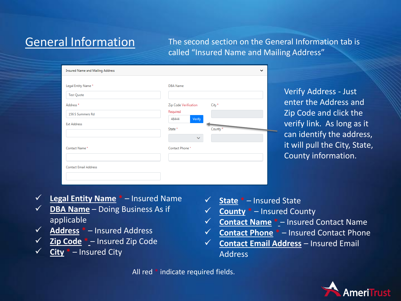General Information The second section on the General Information tab is called "Insured Name and Mailing Address"

| Insured Name and Mailing Address                   |                                                                                      | $\check{ }$ |
|----------------------------------------------------|--------------------------------------------------------------------------------------|-------------|
| Legal Entity Name*<br><b>Test Quote</b>            | <b>DBA</b> Name                                                                      |             |
| Address*<br>156 S Summers Rd<br><b>Ext Address</b> | City *<br>Zip Code Verification<br>Required<br>Verify<br>48444<br>State *<br>County* |             |
| Contact Name*<br><b>Contact Email Address</b>      | $\checkmark$<br>Contact Phone*                                                       |             |

Verify Address - Just enter the Address and Zip Code and click the verify link. As long as it can identify the address, it will pull the City, State, County information.

- ✓ **Legal Entity Name** \* Insured Name
- ✓ **DBA Name** Doing Business As if applicable
- ✓ **Address** \* Insured Address
- ✓ **Zip Code** \* Insured Zip Code
- ✓ **City** \* Insured City
- ✓ **State** \* Insured State
- ✓ **County** \* Insured County
- **Contact Name \*** Insured Contact Name
- ✓ **Contact Phone** \* Insured Contact Phone
- ✓ **Contact Email Address** Insured Email Address

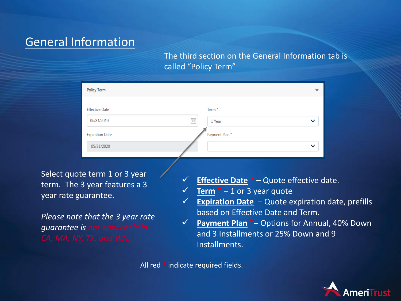# General Information

The third section on the General Information tab is called "Policy Term"

| <b>Policy Term</b>     |                   | $\check{ }$  |
|------------------------|-------------------|--------------|
| <b>Effective Date</b>  | Term <sup>*</sup> |              |
| 05/31/2019             | जि<br>1 Year      | $\checkmark$ |
| <b>Expiration Date</b> | Payment Plan*     |              |
| 05/31/2020             |                   | $\checkmark$ |

Select quote term 1 or 3 year term. The 3 year features a 3 year rate guarantee.

*Please note that the 3 year rate guarantee is not applicable in* 

- ✓ **Effective Date** \* Quote effective date.
- $\checkmark$  **Term**  $*$  1 or 3 year quote
- $\checkmark$  **Expiration Date** Quote expiration date, prefills based on Effective Date and Term.
- ✓ **Payment Plan** \*– Options for Annual, 40% Down and 3 Installments or 25% Down and 9 Installments.

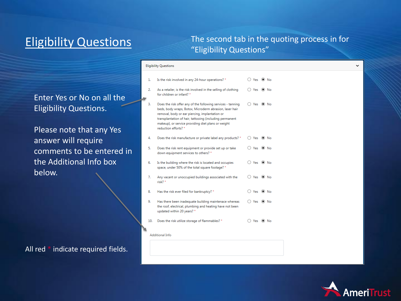# Eligibility Questions

### The second tab in the quoting process in for "Eligibility Questions"

Enter Yes or No on all the Eligibility Questions.

Please note that any Yes answer will require comments to be entered in the Additional Info box below.

All red \* indicate required fields.

|     | <b>Eligibility Questions</b>                                                                                                                                                                                                                                                                                      |                                 |
|-----|-------------------------------------------------------------------------------------------------------------------------------------------------------------------------------------------------------------------------------------------------------------------------------------------------------------------|---------------------------------|
| 1.  | Is the risk involved in any 24-hour operations? *                                                                                                                                                                                                                                                                 | $\bigcirc$ Yes $\circledast$ No |
| 2.  | As a retailer, is the risk involved in the selling of clothing<br>for children or infant? *                                                                                                                                                                                                                       | ○ Yes ◉ No                      |
| 3.  | Does the risk offer any of the following services - tanning<br>beds, body wraps, Botox, Microderm abrasion, laser hair<br>removal, body or ear piercing, implantation or<br>transplantation of hair, tattooing (including permanent<br>makeup), or service providing diet plans or weight<br>reduction efforts? * | ○ Yes ◉ No                      |
| 4.  | Does the risk manufacture or private label any products? *                                                                                                                                                                                                                                                        | ○ Yes ◉ No                      |
| 5.  | Does the risk rent equipment or provide set up or take<br>down equipment services to others? *                                                                                                                                                                                                                    | ○ Yes ◉ No                      |
| 6.  | Is the building where the risk is located and occupies<br>space, under 50% of the total square footage? *                                                                                                                                                                                                         | $\bigcirc$ Yes $\circledast$ No |
| 7.  | Any vacant or unoccupied buildings associated with the<br>risk?*                                                                                                                                                                                                                                                  | $\bigcirc$ Yes $\circledast$ No |
| 8.  | Has the risk ever filed for bankruptcy? *                                                                                                                                                                                                                                                                         | $\bigcirc$ Yes $\circledast$ No |
| 9.  | Has there been inadequate building maintenace whereas<br>the roof, electrical, plumbing and heating have not been<br>updated within 20 years? *                                                                                                                                                                   | ○ Yes ◉ No                      |
| 10. | Does the risk utilize storage of flammables? *                                                                                                                                                                                                                                                                    | Yes <sup>O</sup> No             |
|     |                                                                                                                                                                                                                                                                                                                   |                                 |

**Additional Info** 



 $\checkmark$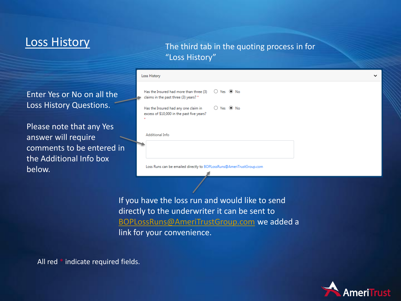Enter Yes or No on all the Loss History Questions.

Please note that any Yes answer will require comments to be entered in the Additional Info box below.

## **Loss History** The third tab in the quoting process in for "Loss History"

|  | Loss History                                                                                                     |                                  |  |
|--|------------------------------------------------------------------------------------------------------------------|----------------------------------|--|
|  | Has the Insured had more than three (3) $\bigcirc$ Yes $\circledast$ No<br>claims in the past three (3) years? * |                                  |  |
|  | Has the Insured had any one claim in<br>excess of \$10,000 in the past five years?<br>÷                          | $\bigcirc$ Yes $\circledcirc$ No |  |
|  | <b>Additional Info</b>                                                                                           |                                  |  |
|  |                                                                                                                  |                                  |  |
|  | Loss Runs can be emailed directly to BOPLossRuns@AmeriTrustGroup.com                                             |                                  |  |

If you have the loss run and would like to send directly to the underwriter it can be sent to [BOPLossRuns@AmeriTrustGroup.com](mailto:BOPLossRuns@AmeriTrustGroup.com) we added a link for your convenience.

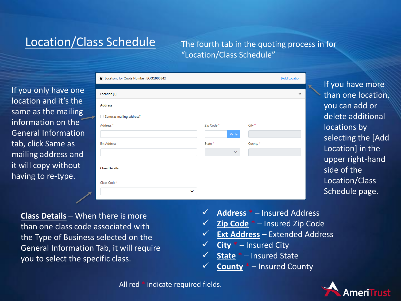# Location/Class Schedule The fourth tab in the quoting process in for

# "Location/Class Schedule"

If you only have one location and it's the same as the mailing information on the General Information tab, click Same as mailing address and it will copy without having to re-type.

|   | C Locations for Quote Number: BOQ1005842 |                         |         | [Add Location] |
|---|------------------------------------------|-------------------------|---------|----------------|
|   | Location [1]                             |                         |         | $\checkmark$   |
|   | <b>Address</b>                           |                         |         |                |
| ▶ | Same as mailing address?<br>u            |                         |         |                |
|   | Address*                                 | Zip Code*               | City*   |                |
|   |                                          | <b>Verify</b>           |         |                |
|   | <b>Ext Address</b>                       | State *<br>$\checkmark$ | County* |                |
|   |                                          |                         |         |                |
|   | <b>Class Details</b>                     |                         |         |                |
|   | Class Code*                              |                         |         |                |
|   | $\checkmark$                             |                         |         |                |

If you have more than one location, you can add or delete additional locations by selecting the [Add Location] in the upper right-hand side of the Location/Class Schedule page.

**Class Details** – When there is more than one class code associated with the Type of Business selected on the General Information Tab, it will require you to select the specific class.

- ✓ **Address** \* Insured Address
- **Zip Code** \* Insured Zip Code
- **Ext Address Extended Address**
- ✓ **City** \* Insured City
- ✓ **State** \* Insured State
- ✓ **County** \* Insured County

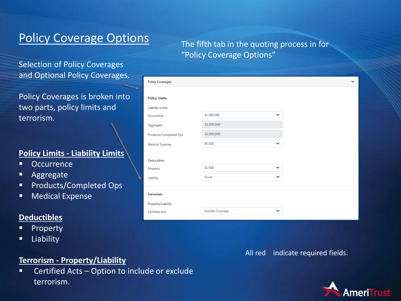# Policy Coverage Options<br>The fifth tab in the quoting process in for

Selection of Policy Coverages and Optional Policy Coverages.

Policy Coverages is broken into two parts, policy limits and terrorism.

#### **Policy Limits - Liability Limits**

- Occurrence
- **■** Aggregate
- Products/Completed Ops
- **■** Medical Expense

#### **Deductibles**

- **Property**
- **·** Liability

#### **Terrorism - Property/Liability**

■ Certified Acts – Option to include or exclude terrorism.

# "Policy Coverage Options"

| <b>Policy Coverages</b> |                         |              |
|-------------------------|-------------------------|--------------|
|                         |                         |              |
| <b>Policy Limits</b>    |                         |              |
| <b>Liability Limits</b> |                         |              |
| Occurrence              | \$1,000,000             | $\checkmark$ |
| Aggregate               | \$2,000,000             |              |
| Products/Completed Ops  | \$2,000,000             |              |
| <b>Medical Expense</b>  | \$5,000                 | $\checkmark$ |
|                         |                         |              |
| <b>Deductibles</b>      |                         |              |
| Property                | \$1,000                 | $\checkmark$ |
| Liability               | None                    | $\checkmark$ |
| <b>Terrorism</b>        |                         |              |
|                         |                         |              |
| Property/Liability      |                         |              |
| <b>Certified Acts</b>   | <b>Include Coverage</b> | $\checkmark$ |

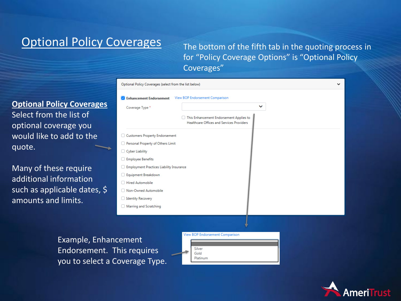# **Optional Policy Coverages** The bottom of the fifth tab in the quoting process in

for "Policy Coverage Options" is "Optional Policy Coverages"

**Optional Policy Coverages** Select from the list of optional coverage you would like to add to the quote.

Many of these require additional information such as applicable dates, \$ amounts and limits.

| Optional Folicy Coverages (select from the list below) |                                           |   |
|--------------------------------------------------------|-------------------------------------------|---|
| <b>Enhancement Endorsement</b>                         | View BOP Endorsement Comparison           |   |
| Coverage Type *                                        |                                           | ◡ |
|                                                        | This Enhancement Endorsement Applies to   |   |
|                                                        | Healthcare Offices and Services Providers |   |
| Customers Property Endorsement                         |                                           |   |
| Personal Property of Others Limit                      |                                           |   |
| $\Box$ Cyber Liability                                 |                                           |   |
| Employee Benefits                                      |                                           |   |
| Employment Practices Liability Insurance               |                                           |   |
| Equipment Breakdown                                    |                                           |   |
| Hired Automobile                                       |                                           |   |
| Non-Owned Automobile                                   |                                           |   |
| <b>Identity Recovery</b>                               |                                           |   |
| Marring and Scratching                                 |                                           |   |
|                                                        |                                           |   |

Example, Enhancement Endorsement. This requires you to select a Coverage Type.



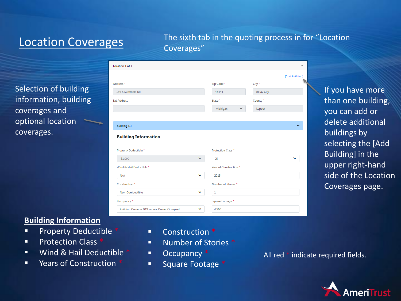**Constitution** of the C

Location Coverages<br>
Coverages
The sixth tab in the quoting process in for "Location" Coverages"

Selection of building information, building coverages and optional location coverages.

|              |                          |                   | [Add Building]    |
|--------------|--------------------------|-------------------|-------------------|
|              |                          |                   |                   |
|              | 48444                    | <b>Imlay City</b> |                   |
|              | State *                  | County*           |                   |
|              | Michigan<br>$\checkmark$ | Lapeer            |                   |
|              |                          |                   |                   |
|              |                          |                   | $\checkmark$      |
|              |                          |                   |                   |
|              |                          |                   |                   |
|              |                          |                   |                   |
|              | Protection Class*        |                   |                   |
| $\checkmark$ | 05                       |                   | $\checkmark$      |
|              | Year of Construction *   |                   |                   |
| ◡            | 2015                     |                   |                   |
|              |                          |                   |                   |
|              | Number of Stories*       |                   |                   |
| $\checkmark$ | $\mathbf{1}$             |                   |                   |
|              | Square Footage *         |                   |                   |
|              |                          | Zip Code*         | City <sup>*</sup> |

If you have more than one building, you can add or delete additional buildings by selecting the [Add Building] in the upper right-hand side of the Location Coverages page.

## **Building Information**

- Property Deductible
- **•** Protection Class
- Wind & Hail Deductible \*
- Years of Construction
- Construction \*
- Number of Stories \*
- Occupancy \*
- Square Footage \*

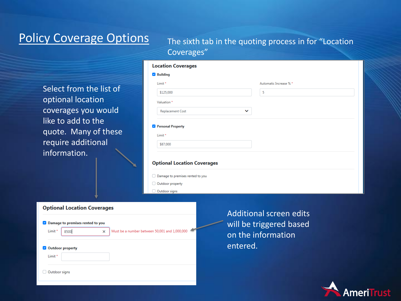# **Policy Coverage Options**

Select from the list of optional location coverages you would like to add to the quote. Many of these require additional information.

|            | The sixth tab in the quoting process in for "Location" |  |
|------------|--------------------------------------------------------|--|
| Coverages" |                                                        |  |

| Limit*                             | Automatic Increase % * |
|------------------------------------|------------------------|
| \$125,000                          | 5                      |
| Valuation <sup>*</sup>             |                        |
| <b>Replacement Cost</b>            | $\checkmark$           |
| Personal Property<br>Limit*        |                        |
| \$87,000                           |                        |
|                                    |                        |
|                                    |                        |
| <b>Optional Location Coverages</b> |                        |

#### **Optional Location Coverages**

| Damage to premises rented to you<br>$\blacktriangledown$ |                         |   |                                               |  |  |  |
|----------------------------------------------------------|-------------------------|---|-----------------------------------------------|--|--|--|
| Limit*                                                   | 8500                    | × | Must be a number between 50,001 and 1,000,000 |  |  |  |
| $\checkmark$<br>Limit*                                   | <b>Outdoor property</b> |   |                                               |  |  |  |
|                                                          | Outdoor signs           |   |                                               |  |  |  |

Additional screen edits will be triggered based on the information entered.

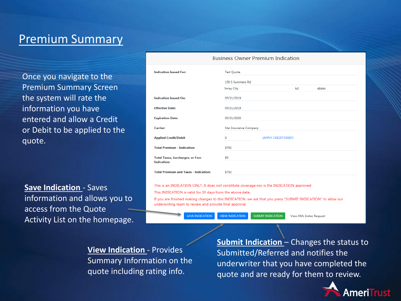# Premium Summary

Once you navigate to the Premium Summary Screen the system will rate the information you have entered and allow a Credit or Debit to be applied to the quote.

**Save Indication** - Saves information and allows you to access from the Quote Activity List on the homepage.

| <b>Indication Issued For:</b>                                                              | <b>Test Quote</b>             |                                                                                                               |  |  |  |
|--------------------------------------------------------------------------------------------|-------------------------------|---------------------------------------------------------------------------------------------------------------|--|--|--|
|                                                                                            |                               |                                                                                                               |  |  |  |
|                                                                                            | 156 S Summers Rd              |                                                                                                               |  |  |  |
|                                                                                            | <b>Imlay City</b>             | MĪ<br>48444                                                                                                   |  |  |  |
| <b>Indication Issued On:</b>                                                               | 05/31/2019                    |                                                                                                               |  |  |  |
| <b>Effective Date:</b>                                                                     | 05/31/2019                    |                                                                                                               |  |  |  |
| <b>Expiration Date:</b>                                                                    | 05/31/2020                    |                                                                                                               |  |  |  |
| <b>Carrier:</b>                                                                            | <b>Star Insurance Company</b> |                                                                                                               |  |  |  |
| <b>Applied Credit/Debit</b>                                                                | $\Omega$                      | (APPLY CREDIT/DEBIT)                                                                                          |  |  |  |
| <b>Total Premium - Indication:</b>                                                         | \$792                         |                                                                                                               |  |  |  |
| <b>Total Taxes, Surcharges, or Fees -</b><br><b>Indication:</b>                            | \$0                           |                                                                                                               |  |  |  |
| <b>Total Premium and Taxes - Indication:</b>                                               | \$792                         |                                                                                                               |  |  |  |
| This is an INDICATION ONLY. It does not constitute coverage nor is the INDICATION approved |                               |                                                                                                               |  |  |  |
| This INDICATION is valid for 30 days from the above date.                                  |                               |                                                                                                               |  |  |  |
| underwriting team to review and provide final approval                                     |                               | If you are finished making changes to this INDICATION, we ask that you press "SUBMIT INDICATION" to allow our |  |  |  |

**SUBMIT INDICATION** 

**View Indication** - Provides Summary Information on the quote including rating info.

**SAVE INDICATION** 

**VIEW INDICATION** 

**Submit Indication** – Changes the status to Submitted/Referred and notifies the underwriter that you have completed the quote and are ready for them to review.

**View XML Instec Request**